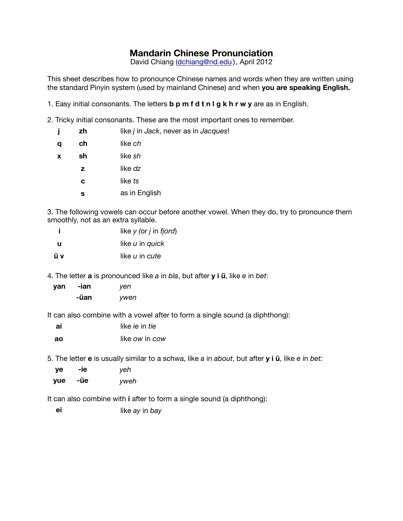## **Mandarin Chinese Pronunciation**

David Chiang ([dchiang@nd.edu](mailto:dchiang@nd.edu)), April 2012

This sheet describes how to pronounce Chinese names and words when they are written using the standard Pinyin system (used by mainland Chinese) and when **you are speaking English.**

- 1. Easy initial consonants. The letters **b p m f d t n l g k h r w y** are as in English.
- 2. Tricky initial consonants. These are the most important ones to remember.

| İ | zh | like <i>j</i> in <i>Jack</i> , never as in <i>Jacques!</i> |
|---|----|------------------------------------------------------------|
| q | ch | like ch                                                    |
| X | sh | like sh                                                    |
|   | z  | like dz                                                    |
|   | c  | like ts                                                    |
|   | s  | as in English                                              |
|   |    |                                                            |

3. The following vowels can occur before another vowel. When they do, try to pronounce them smoothly, not as an extra syllable.

| like $y$ (or $j$ in fjord) |
|----------------------------|
| like u in quick            |
| like <i>u</i> in cute      |
|                            |

4. The letter **a** is pronounced like *a* in *bla*, but after **y i ü**, like *e* in *bet*:

| yan | -ian | yen  |
|-----|------|------|
|     | -ūan | ywen |

It can also combine with a vowel after to form a single sound (a diphthong):

| ai | like <i>ie</i> in <i>tie</i> |
|----|------------------------------|
| ao | like ow in cow               |

5. The letter **e** is usually similar to a schwa, like *a* in *about*, but after **y i ü**, like *e* in *bet:*

| ye  | -ie | yeh  |
|-----|-----|------|
| yue | -üe | yweh |

It can also combine with **i** after to form a single sound (a diphthong):

**ei** like *ay* in *bay*